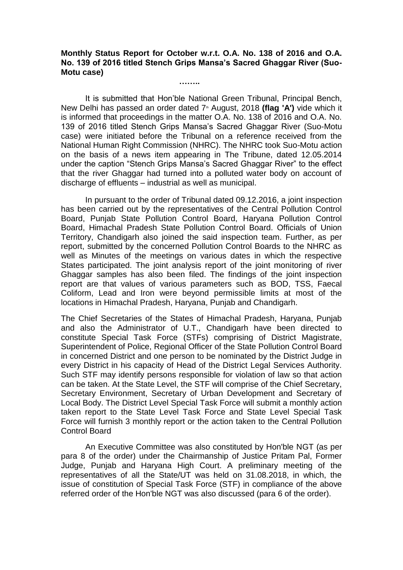## **Monthly Status Report for October w.r.t. O.A. No. 138 of 2016 and O.A. No. 139 of 2016 titled Stench Grips Mansa's Sacred Ghaggar River (Suo-Motu case)**

**……..**

It is submitted that Hon'ble National Green Tribunal, Principal Bench, New Delhi has passed an order dated 7<sup>th</sup> August, 2018 **(flag 'A')** vide which it is informed that proceedings in the matter O.A. No. 138 of 2016 and O.A. No. 139 of 2016 titled Stench Grips Mansa's Sacred Ghaggar River (Suo-Motu case) were initiated before the Tribunal on a reference received from the National Human Right Commission (NHRC). The NHRC took Suo-Motu action on the basis of a news item appearing in The Tribune, dated 12.05.2014 under the caption "Stench Grips Mansa's Sacred Ghaggar River" to the effect that the river Ghaggar had turned into a polluted water body on account of discharge of effluents – industrial as well as municipal.

In pursuant to the order of Tribunal dated 09.12.2016, a joint inspection has been carried out by the representatives of the Central Pollution Control Board, Punjab State Pollution Control Board, Haryana Pollution Control Board, Himachal Pradesh State Pollution Control Board. Officials of Union Territory, Chandigarh also joined the said inspection team. Further, as per report, submitted by the concerned Pollution Control Boards to the NHRC as well as Minutes of the meetings on various dates in which the respective States participated. The joint analysis report of the joint monitoring of river Ghaggar samples has also been filed. The findings of the joint inspection report are that values of various parameters such as BOD, TSS, Faecal Coliform, Lead and Iron were beyond permissible limits at most of the locations in Himachal Pradesh, Haryana, Punjab and Chandigarh.

The Chief Secretaries of the States of Himachal Pradesh, Haryana, Punjab and also the Administrator of U.T., Chandigarh have been directed to constitute Special Task Force (STFs) comprising of District Magistrate, Superintendent of Police, Regional Officer of the State Pollution Control Board in concerned District and one person to be nominated by the District Judge in every District in his capacity of Head of the District Legal Services Authority. Such STF may identify persons responsible for violation of law so that action can be taken. At the State Level, the STF will comprise of the Chief Secretary, Secretary Environment, Secretary of Urban Development and Secretary of Local Body. The District Level Special Task Force will submit a monthly action taken report to the State Level Task Force and State Level Special Task Force will furnish 3 monthly report or the action taken to the Central Pollution Control Board

An Executive Committee was also constituted by Hon'ble NGT (as per para 8 of the order) under the Chairmanship of Justice Pritam Pal, Former Judge, Punjab and Haryana High Court. A preliminary meeting of the representatives of all the State/UT was held on 31.08.2018, in which, the issue of constitution of Special Task Force (STF) in compliance of the above referred order of the Hon'ble NGT was also discussed (para 6 of the order).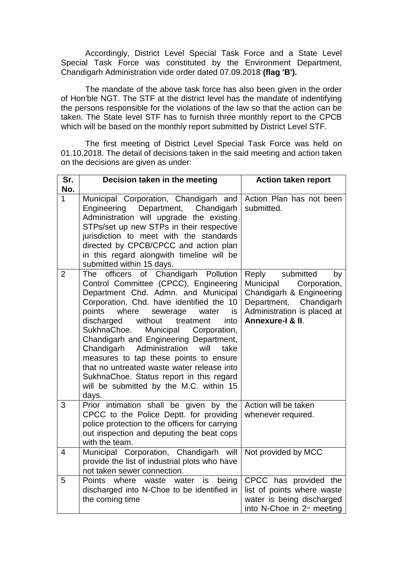Accordingly, District Level Special Task Force and a State Level Special Task Force was constituted by the Environment Department, Chandigarh Administration vide order dated 07.09.2018 **(flag 'B').**

The mandate of the above task force has also been given in the order of Hon'ble NGT. The STF at the district level has the mandate of indentifying the persons responsible for the violations of the law so that the action can be taken. The State level STF has to furnish three monthly report to the CPCB which will be based on the monthly report submitted by District Level STF.

The first meeting of District Level Special Task Force was held on 01.10.2018. The detail of decisions taken in the said meeting and action taken on the decisions are given as under:

| Sr.<br>No.     | Decision taken in the meeting                                                                                                                                                                                                                                                                                                                                                                                                                                                                                                                                                                       | <b>Action taken report</b>                                                                                                                                        |
|----------------|-----------------------------------------------------------------------------------------------------------------------------------------------------------------------------------------------------------------------------------------------------------------------------------------------------------------------------------------------------------------------------------------------------------------------------------------------------------------------------------------------------------------------------------------------------------------------------------------------------|-------------------------------------------------------------------------------------------------------------------------------------------------------------------|
| 1              | Municipal Corporation, Chandigarh and<br>Engineering Department, Chandigarh<br>Administration will upgrade the existing<br>STPs/set up new STPs in their respective<br>jurisdiction to meet with the standards<br>directed by CPCB/CPCC and action plan<br>in this regard alongwith timeline will be<br>submitted within 15 days.                                                                                                                                                                                                                                                                   | Action Plan has not been<br>submitted.                                                                                                                            |
| $\overline{2}$ | of Chandigarh<br>officers<br>Pollution<br>The<br>Control Committee (CPCC), Engineering<br>Department Chd. Admn. and Municipal<br>Corporation, Chd. have identified the 10<br>points<br>where<br>sewerage<br>water<br>is<br>without<br>discharged<br>treatment<br>into<br>SukhnaChoe.<br>Municipal<br>Corporation,<br>Chandigarh and Engineering Department,<br>Administration<br>Chandigarh<br>will<br>take<br>measures to tap these points to ensure<br>that no untreated waste water release into<br>SukhnaChoe. Status report in this regard<br>will be submitted by the M.C. within 15<br>days. | Reply<br>submitted<br>by<br>Municipal<br>Corporation,<br>Chandigarh & Engineering<br>Chandigarh<br>Department,<br>Administration is placed at<br>Annexure-I & II. |
| 3              | Prior intimation shall be given by the<br>CPCC to the Police Deptt. for providing<br>police protection to the officers for carrying<br>out inspection and deputing the beat cops<br>with the team.                                                                                                                                                                                                                                                                                                                                                                                                  | Action will be taken<br>whenever required.                                                                                                                        |
| $\overline{4}$ | Municipal Corporation, Chandigarh will<br>provide the list of industrial plots who have<br>not taken sewer connection.                                                                                                                                                                                                                                                                                                                                                                                                                                                                              | Not provided by MCC                                                                                                                                               |
| 5              | <b>Points</b><br>where<br>waste<br>water<br>being<br>is<br>discharged into N-Choe to be identified in<br>the coming time                                                                                                                                                                                                                                                                                                                                                                                                                                                                            | CPCC has provided the<br>list of points where waste<br>water is being discharged<br>into N-Choe in 2 <sup>nd</sup> meeting                                        |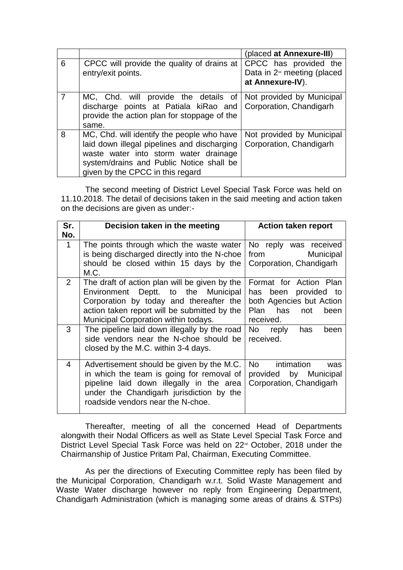|   |                                                                                                                                                                                                                    | (placed at Annexure-III)                                                   |
|---|--------------------------------------------------------------------------------------------------------------------------------------------------------------------------------------------------------------------|----------------------------------------------------------------------------|
| 6 | CPCC will provide the quality of drains at<br>entry/exit points.                                                                                                                                                   | CPCC has provided the<br>Data in $2nd$ meeting (placed<br>at Annexure-IV). |
|   | MC, Chd. will provide the details of<br>discharge points at Patiala kiRao and<br>provide the action plan for stoppage of the<br>same.                                                                              | Not provided by Municipal<br>Corporation, Chandigarh                       |
| 8 | MC, Chd. will identify the people who have<br>laid down illegal pipelines and discharging<br>waste water into storm water drainage<br>system/drains and Public Notice shall be<br>given by the CPCC in this regard | Not provided by Municipal<br>Corporation, Chandigarh                       |

The second meeting of District Level Special Task Force was held on 11.10.2018. The detail of decisions taken in the said meeting and action taken on the decisions are given as under:-

| Sr.                 | Decision taken in the meeting                                                                                                                                                                                           | <b>Action taken report</b>                                                                                            |
|---------------------|-------------------------------------------------------------------------------------------------------------------------------------------------------------------------------------------------------------------------|-----------------------------------------------------------------------------------------------------------------------|
| No.<br>$\mathbf{1}$ | The points through which the waste water<br>is being discharged directly into the N-choe<br>should be closed within 15 days by the<br>M.C.                                                                              | No reply was received<br>from<br><b>Municipal</b><br>Corporation, Chandigarh                                          |
| 2 <sup>1</sup>      | The draft of action plan will be given by the<br>Environment Deptt. to the Municipal<br>Corporation by today and thereafter the<br>action taken report will be submitted by the<br>Municipal Corporation within todays. | Format for Action Plan<br>has been<br>provided to<br>both Agencies but Action<br>Plan has<br>not<br>been<br>received. |
| $\mathbf{3}$        | The pipeline laid down illegally by the road<br>side vendors near the N-choe should be<br>closed by the M.C. within 3-4 days.                                                                                           | No reply<br>has<br>been<br>received.                                                                                  |
| 4                   | Advertisement should be given by the M.C.<br>in which the team is going for removal of<br>pipeline laid down illegally in the area<br>under the Chandigarh jurisdiction by the<br>roadside vendors near the N-choe.     | intimation<br>No l<br>was<br>provided by Municipal<br>Corporation, Chandigarh                                         |

Thereafter, meeting of all the concerned Head of Departments alongwith their Nodal Officers as well as State Level Special Task Force and District Level Special Task Force was held on 22<sup>nd</sup> October, 2018 under the Chairmanship of Justice Pritam Pal, Chairman, Executing Committee.

As per the directions of Executing Committee reply has been filed by the Municipal Corporation, Chandigarh w.r.t. Solid Waste Management and Waste Water discharge however no reply from Engineering Department, Chandigarh Administration (which is managing some areas of drains & STPs)